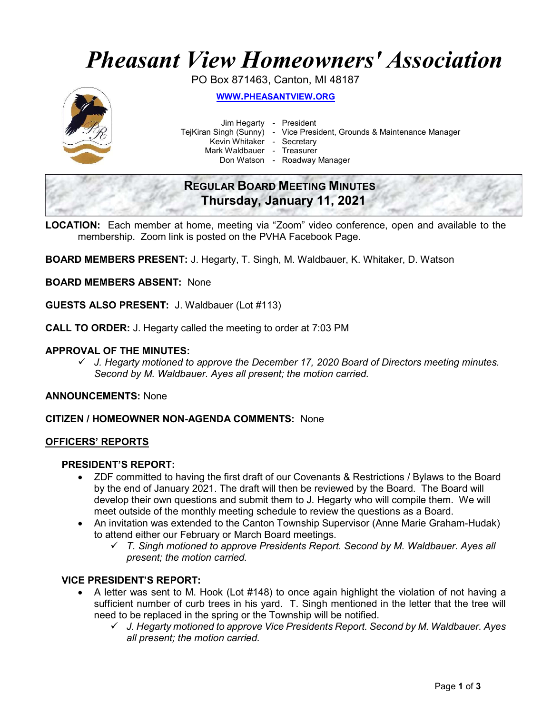# Pheasant View Homeowners' Association

PO Box 871463, Canton, MI 48187



WWW.PHEASANTVIEW.ORG

Jim Hegarty - President

TejKiran Singh (Sunny) - Vice President, Grounds & Maintenance Manager

Kevin Whitaker - Secretary

Mark Waldbauer - Treasurer

Don Watson - Roadway Manager

### REGULAR BOARD MEETING MINUTES Thursday, January 11, 2021

LOCATION: Each member at home, meeting via "Zoom" video conference, open and available to the membership. Zoom link is posted on the PVHA Facebook Page.

BOARD MEMBERS PRESENT: J. Hegarty, T. Singh, M. Waldbauer, K. Whitaker, D. Watson

BOARD MEMBERS ABSENT: None

GUESTS ALSO PRESENT: J. Waldbauer (Lot #113)

CALL TO ORDER: J. Hegarty called the meeting to order at 7:03 PM

#### APPROVAL OF THE MINUTES:

 $\checkmark$  J. Hegarty motioned to approve the December 17, 2020 Board of Directors meeting minutes. Second by M. Waldbauer. Ayes all present; the motion carried.

ANNOUNCEMENTS: None

CITIZEN / HOMEOWNER NON-AGENDA COMMENTS: None

#### OFFICERS' REPORTS

#### PRESIDENT'S REPORT:

- ZDF committed to having the first draft of our Covenants & Restrictions / Bylaws to the Board by the end of January 2021. The draft will then be reviewed by the Board. The Board will develop their own questions and submit them to J. Hegarty who will compile them. We will meet outside of the monthly meeting schedule to review the questions as a Board.
- An invitation was extended to the Canton Township Supervisor (Anne Marie Graham-Hudak) to attend either our February or March Board meetings.
	- $\checkmark$  T. Singh motioned to approve Presidents Report. Second by M. Waldbauer. Ayes all present; the motion carried.

#### VICE PRESIDENT'S REPORT:

- A letter was sent to M. Hook (Lot #148) to once again highlight the violation of not having a sufficient number of curb trees in his yard. T. Singh mentioned in the letter that the tree will need to be replaced in the spring or the Township will be notified.
	- J. Hegarty motioned to approve Vice Presidents Report. Second by M. Waldbauer. Ayes all present; the motion carried.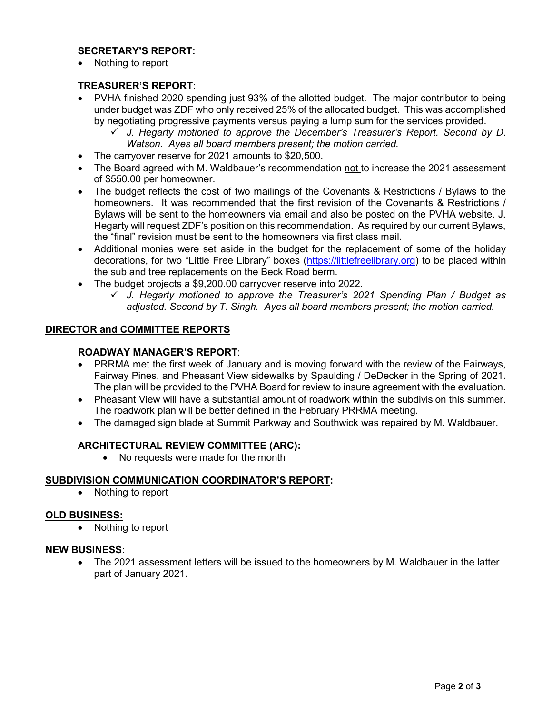#### SECRETARY'S REPORT:

Nothing to report

#### TREASURER'S REPORT:

- PVHA finished 2020 spending just 93% of the allotted budget. The major contributor to being under budget was ZDF who only received 25% of the allocated budget. This was accomplished by negotiating progressive payments versus paying a lump sum for the services provided.
	- J. Hegarty motioned to approve the December's Treasurer's Report. Second by D. Watson. Ayes all board members present; the motion carried.
- The carryover reserve for 2021 amounts to \$20,500.
- The Board agreed with M. Waldbauer's recommendation not to increase the 2021 assessment of \$550.00 per homeowner.
- The budget reflects the cost of two mailings of the Covenants & Restrictions / Bylaws to the homeowners. It was recommended that the first revision of the Covenants & Restrictions / Bylaws will be sent to the homeowners via email and also be posted on the PVHA website. J. Hegarty will request ZDF's position on this recommendation. As required by our current Bylaws, the "final" revision must be sent to the homeowners via first class mail.
- Additional monies were set aside in the budget for the replacement of some of the holiday decorations, for two "Little Free Library" boxes (https://littlefreelibrary.org) to be placed within the sub and tree replacements on the Beck Road berm.
- The budget projects a \$9,200.00 carryover reserve into 2022.
	- $\checkmark$  J. Hegarty motioned to approve the Treasurer's 2021 Spending Plan / Budget as adjusted. Second by T. Singh. Ayes all board members present; the motion carried.

#### DIRECTOR and COMMITTEE REPORTS

#### ROADWAY MANAGER'S REPORT:

- PRRMA met the first week of January and is moving forward with the review of the Fairways, Fairway Pines, and Pheasant View sidewalks by Spaulding / DeDecker in the Spring of 2021. The plan will be provided to the PVHA Board for review to insure agreement with the evaluation.
- Pheasant View will have a substantial amount of roadwork within the subdivision this summer. The roadwork plan will be better defined in the February PRRMA meeting.
- The damaged sign blade at Summit Parkway and Southwick was repaired by M. Waldbauer.

#### ARCHITECTURAL REVIEW COMMITTEE (ARC):

• No requests were made for the month

#### SUBDIVISION COMMUNICATION COORDINATOR'S REPORT:

Nothing to report

#### OLD BUSINESS:

• Nothing to report

#### NEW BUSINESS:

 The 2021 assessment letters will be issued to the homeowners by M. Waldbauer in the latter part of January 2021.